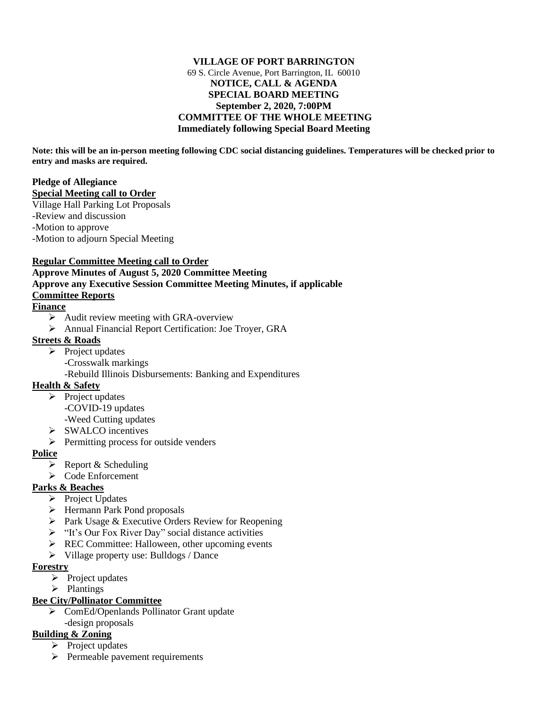#### **VILLAGE OF PORT BARRINGTON** 69 S. Circle Avenue, Port Barrington, IL 60010 **NOTICE, CALL & AGENDA SPECIAL BOARD MEETING September 2, 2020, 7:00PM COMMITTEE OF THE WHOLE MEETING Immediately following Special Board Meeting**

**Note: this will be an in-person meeting following CDC social distancing guidelines. Temperatures will be checked prior to entry and masks are required.**

#### **Pledge of Allegiance Special Meeting call to Order**

Village Hall Parking Lot Proposals -Review and discussion -Motion to approve -Motion to adjourn Special Meeting

### **Regular Committee Meeting call to Order**

# **Approve Minutes of August 5, 2020 Committee Meeting Approve any Executive Session Committee Meeting Minutes, if applicable Committee Reports**

## **Finance**

- $\triangleright$  Audit review meeting with GRA-overview
- ➢ Annual Financial Report Certification: Joe Troyer, GRA

#### **Streets & Roads**

- $\triangleright$  Project updates
	- -Crosswalk markings
	- -Rebuild Illinois Disbursements: Banking and Expenditures

### **Health & Safety**

- ➢ Project updates -COVID-19 updates -Weed Cutting updates
- ➢ SWALCO incentives
- ➢ Permitting process for outside venders

### **Police**

- $\triangleright$  Report & Scheduling
- ➢ Code Enforcement

### **Parks & Beaches**

- ➢ Project Updates
- ➢ Hermann Park Pond proposals
- ➢ Park Usage & Executive Orders Review for Reopening
- ➢ "It's Our Fox River Day" social distance activities
- $\triangleright$  REC Committee: Halloween, other upcoming events
- ➢ Village property use: Bulldogs / Dance

### **Forestry**

- $\triangleright$  Project updates
- ➢ Plantings

### **Bee City/Pollinator Committee**

➢ ComEd/Openlands Pollinator Grant update -design proposals

# **Building & Zoning**

- ➢ Project updates
- ➢ Permeable pavement requirements